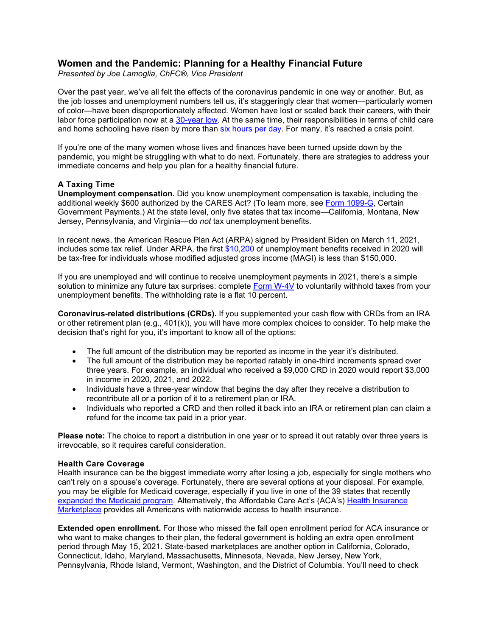# **Women and the Pandemic: Planning for a Healthy Financial Future**

*Presented by Joe Lamoglia, ChFC®, Vice President* 

Over the past year, we've all felt the effects of the coronavirus pandemic in one way or another. But, as the job losses and unemployment numbers tell us, it's staggeringly clear that women—particularly women of color—have been disproportionately affected. Women have lost or scaled back their careers, with their labor force participation now at a [30-year low.](https://nwlc.org/resources/january-jobs-day-2021/) At the same time, their responsibilities in terms of child care and home schooling have risen by more than [six hours per day.](https://econofact.org/impact-of-the-covid-19-crisis-on-womens-employment) For many, it's reached a crisis point.

If you're one of the many women whose lives and finances have been turned upside down by the pandemic, you might be struggling with what to do next. Fortunately, there are strategies to address your immediate concerns and help you plan for a healthy financial future.

### **A Taxing Time**

**Unemployment compensation.** Did you know unemployment compensation is taxable, including the additional weekly \$600 authorized by the CARES Act? (To learn more, see [Form 1099-G,](https://www.irs.gov/forms-pubs/about-form-1099-g) Certain Government Payments.) At the state level, only five states that tax income—California, Montana, New Jersey, Pennsylvania, and Virginia—do *not* tax unemployment benefits.

In recent news, the American Rescue Plan Act (ARPA) signed by President Biden on March 11, 2021, includes some tax relief. Under ARPA, the first [\\$10,200](https://www.irs.gov/faqs/irs-procedures/forms-publications/new-exclusion-of-up-to-10200-of-unemployment-compensation) of unemployment benefits received in 2020 will be tax-free for individuals whose modified adjusted gross income (MAGI) is less than \$150,000.

If you are unemployed and will continue to receive unemployment payments in 2021, there's a simple solution to minimize any future tax surprises: complete [Form W-4V](https://www.irs.gov/pub/irs-pdf/fw4v.pdf) to voluntarily withhold taxes from your unemployment benefits. The withholding rate is a flat 10 percent.

**Coronavirus-related distributions (CRDs).** If you supplemented your cash flow with CRDs from an IRA or other retirement plan (e.g., 401(k)), you will have more complex choices to consider. To help make the decision that's right for you, it's important to know all of the options:

- The full amount of the distribution may be reported as income in the year it's distributed.
- The full amount of the distribution may be reported ratably in one-third increments spread over three years. For example, an individual who received a \$9,000 CRD in 2020 would report \$3,000 in income in 2020, 2021, and 2022.
- Individuals have a three-year window that begins the day after they receive a distribution to recontribute all or a portion of it to a retirement plan or IRA.
- Individuals who reported a CRD and then rolled it back into an IRA or retirement plan can claim a refund for the income tax paid in a prior year.

**Please note:** The choice to report a distribution in one year or to spread it out ratably over three years is irrevocable, so it requires careful consideration.

#### **Health Care Coverage**

Health insurance can be the biggest immediate worry after losing a job, especially for single mothers who can't rely on a spouse's coverage. Fortunately, there are several options at your disposal. For example, you may be eligible for Medicaid coverage, especially if you live in one of the 39 states that recently [expanded the Medicaid program.](https://www.healthcare.gov/medicaid-chip/medicaid-expansion-and-you/) Alternatively, the Affordable Care Act's (ACA's) Health [Insurance](https://www.healthcare.gov/) [Marketplace](https://www.healthcare.gov/) provides all Americans with nationwide access to health insurance.

**Extended open enrollment.** For those who missed the fall open enrollment period for ACA insurance or who want to make changes to their plan, the federal government is holding an extra open enrollment period through May 15, 2021. State-based marketplaces are another option in California, Colorado, Connecticut, Idaho, Maryland, Massachusetts, Minnesota, Nevada, New Jersey, New York, Pennsylvania, Rhode Island, Vermont, Washington, and the District of Columbia. You'll need to check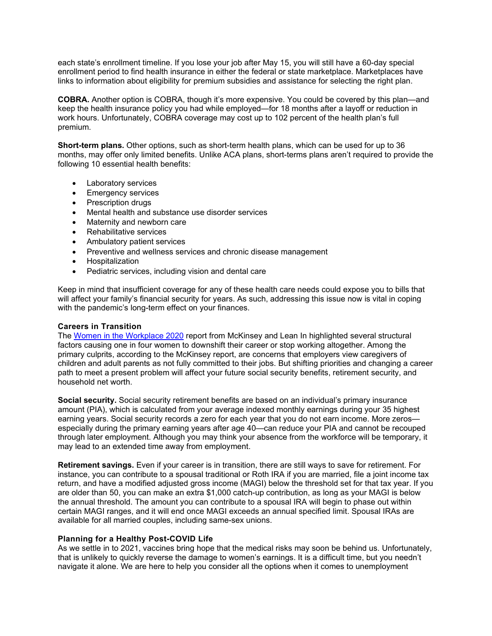each state's enrollment timeline. If you lose your job after May 15, you will still have a 60-day special enrollment period to find health insurance in either the federal or state marketplace. Marketplaces have links to information about eligibility for premium subsidies and assistance for selecting the right plan.

**COBRA.** Another option is COBRA, though it's more expensive. You could be covered by this plan—and keep the health insurance policy you had while employed—for 18 months after a layoff or reduction in work hours. Unfortunately, COBRA coverage may cost up to 102 percent of the health plan's full premium.

**Short-term plans.** Other options, such as short-term health plans, which can be used for up to 36 months, may offer only limited benefits. Unlike ACA plans, short-terms plans aren't required to provide the following 10 essential health benefits:

- Laboratory services
- Emergency services
- Prescription drugs
- Mental health and substance use disorder services
- Maternity and newborn care
- Rehabilitative services
- Ambulatory patient services
- Preventive and wellness services and chronic disease management
- Hospitalization
- Pediatric services, including vision and dental care

Keep in mind that insufficient coverage for any of these health care needs could expose you to bills that will affect your family's financial security for years. As such, addressing this issue now is vital in coping with the pandemic's long-term effect on your finances.

#### **Careers in Transition**

The Women in the [Workplace](https://www.mckinsey.com/featured-insights/diversity-and-inclusion/women-in-the-workplace) 2020 report from McKinsey and Lean In highlighted several structural factors causing one in four women to downshift their career or stop working altogether. Among the primary culprits, according to the McKinsey report, are concerns that employers view caregivers of children and adult parents as not fully committed to their jobs. But shifting priorities and changing a career path to meet a present problem will affect your future social security benefits, retirement security, and household net worth.

**Social security.** Social security retirement benefits are based on an individual's primary insurance amount (PIA), which is calculated from your average indexed monthly earnings during your 35 highest earning years. Social security records a zero for each year that you do not earn income. More zeros especially during the primary earning years after age 40—can reduce your PIA and cannot be recouped through later employment. Although you may think your absence from the workforce will be temporary, it may lead to an extended time away from employment.

**Retirement savings.** Even if your career is in transition, there are still ways to save for retirement. For instance, you can contribute to a spousal traditional or Roth IRA if you are married, file a joint income tax return, and have a modified adjusted gross income (MAGI) below the threshold set for that tax year. If you are older than 50, you can make an extra \$1,000 catch-up contribution, as long as your MAGI is below the annual threshold. The amount you can contribute to a spousal IRA will begin to phase out within certain MAGI ranges, and it will end once MAGI exceeds an annual specified limit. Spousal IRAs are available for all married couples, including same-sex unions.

## **Planning for a Healthy Post-COVID Life**

As we settle in to 2021, vaccines bring hope that the medical risks may soon be behind us. Unfortunately, that is unlikely to quickly reverse the damage to women's earnings. It is a difficult time, but you needn't navigate it alone. We are here to help you consider all the options when it comes to unemployment